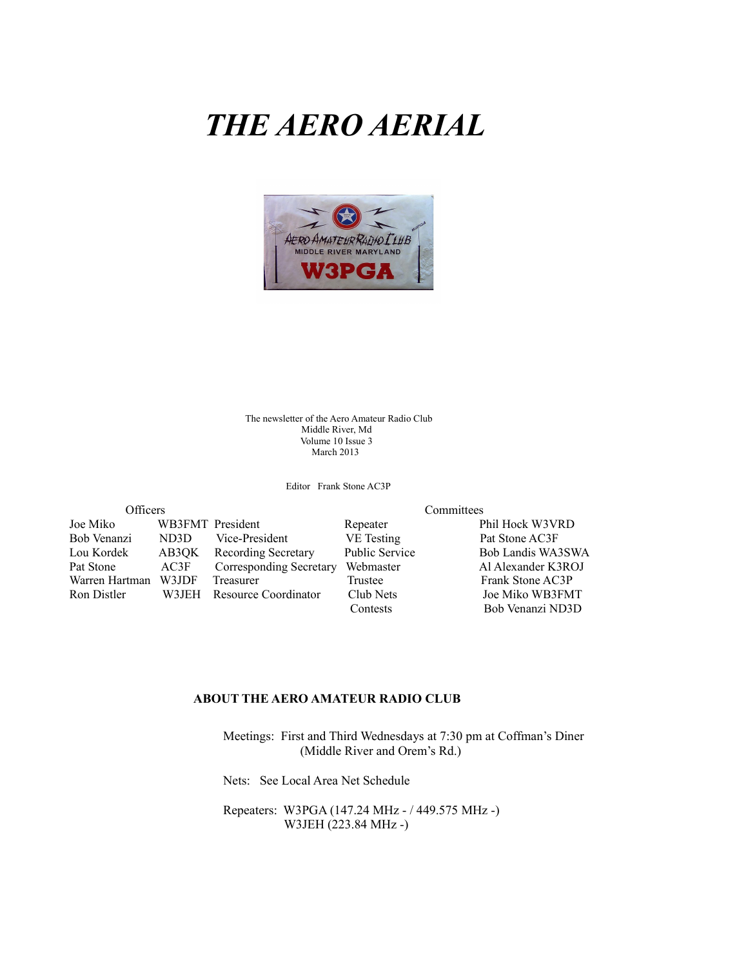# *THE AERO AERIAL*



The newsletter of the Aero Amateur Radio Club Middle River, Md Volume 10 Issue 3 March 2013

Editor Frank Stone AC3P

| Officers       |                  |                            |                | Committees |
|----------------|------------------|----------------------------|----------------|------------|
| Joe Miko       | WB3FMT President |                            | Repeater       | F          |
| Bob Venanzi    | ND3D             | Vice-President             | VE Testing     | F          |
| Lou Kordek     | AB3OK            | <b>Recording Secretary</b> | Public Service | F          |
| Pat Stone      | AC3F             | Corresponding Secretary    | Webmaster      | A          |
| Warren Hartman | W3JDF            | Treasurer                  | Trustee        |            |
| Ron Distler    | W3JEH            | Resource Coordinator       | Club Nets      |            |
|                |                  |                            |                |            |

Repeater Phil Hock W3VRD ent VE Testing Pat Stone AC3F ecretary Public Service Bob Landis WA3SWA ng Secretary Webmaster Al Alexander K3ROJ Trustee Frank Stone AC3P ordinator Club Nets Joe Miko WB3FMT Contests Bob Venanzi ND3D

#### **ABOUT THE AERO AMATEUR RADIO CLUB**

 Meetings: First and Third Wednesdays at 7:30 pm at Coffman's Diner (Middle River and Orem's Rd.)

Nets: See Local Area Net Schedule

 Repeaters: W3PGA (147.24 MHz - / 449.575 MHz -) W3JEH (223.84 MHz -)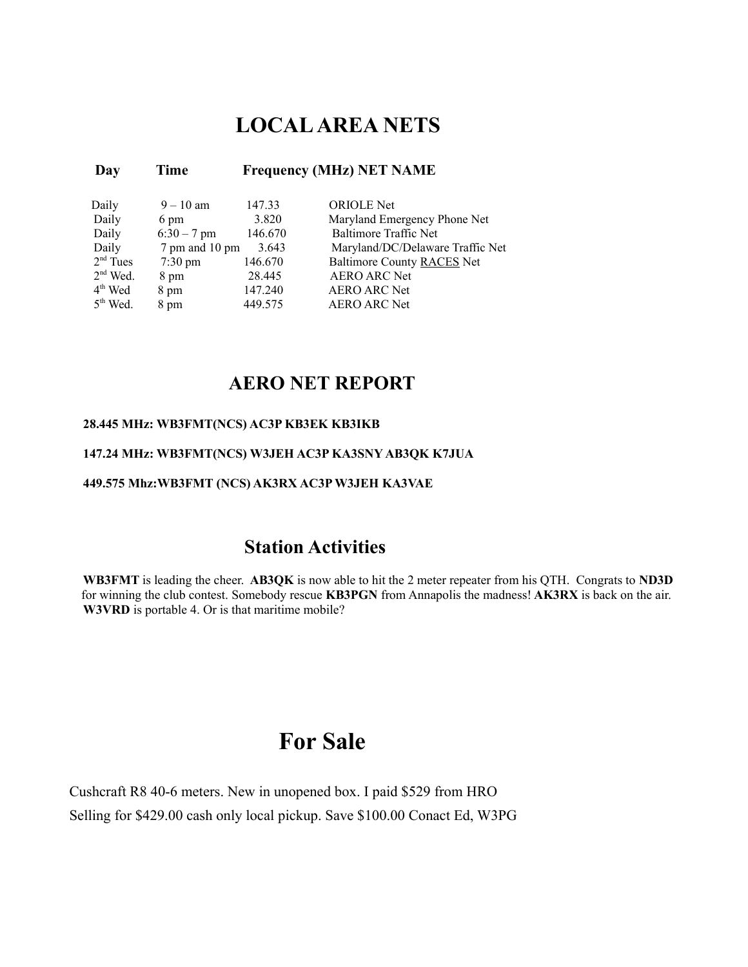### **LOCAL AREA NETS**

#### **Day Time Frequency (MHz) NET NAME**

| Daily      | $9 - 10$ am       | 147.33  | <b>ORIOLE</b> Net                |
|------------|-------------------|---------|----------------------------------|
| Daily      | 6 pm              | 3.820   | Maryland Emergency Phone Net     |
| Daily      | $6:30 - 7$ pm     | 146.670 | <b>Baltimore Traffic Net</b>     |
| Daily      | 7 pm and 10 pm    | 3.643   | Maryland/DC/Delaware Traffic Net |
| $2nd$ Tues | $7:30 \text{ pm}$ | 146.670 | Baltimore County RACES Net       |
| $2nd$ Wed. | 8 pm              | 28.445  | <b>AERO ARC Net</b>              |
| $4th$ Wed  | 8 pm              | 147.240 | <b>AERO ARC Net</b>              |
| $5th$ Wed. | 8 pm              | 449.575 | <b>AERO ARC Net</b>              |

#### **AERO NET REPORT**

#### **28.445 MHz: WB3FMT(NCS) AC3P KB3EK KB3IKB**

#### **147.24 MHz: WB3FMT(NCS) W3JEH AC3P KA3SNY AB3QK K7JUA**

#### **449.575 Mhz:WB3FMT (NCS) AK3RX AC3P W3JEH KA3VAE**

### **Station Activities**

**WB3FMT** is leading the cheer. **AB3QK** is now able to hit the 2 meter repeater from his QTH. Congrats to **ND3D** for winning the club contest. Somebody rescue **KB3PGN** from Annapolis the madness! **AK3RX** is back on the air. **W3VRD** is portable 4. Or is that maritime mobile?

### **For Sale**

Cushcraft R8 40-6 meters. New in unopened box. I paid \$529 from HRO Selling for \$429.00 cash only local pickup. Save \$100.00 Conact Ed, W3PG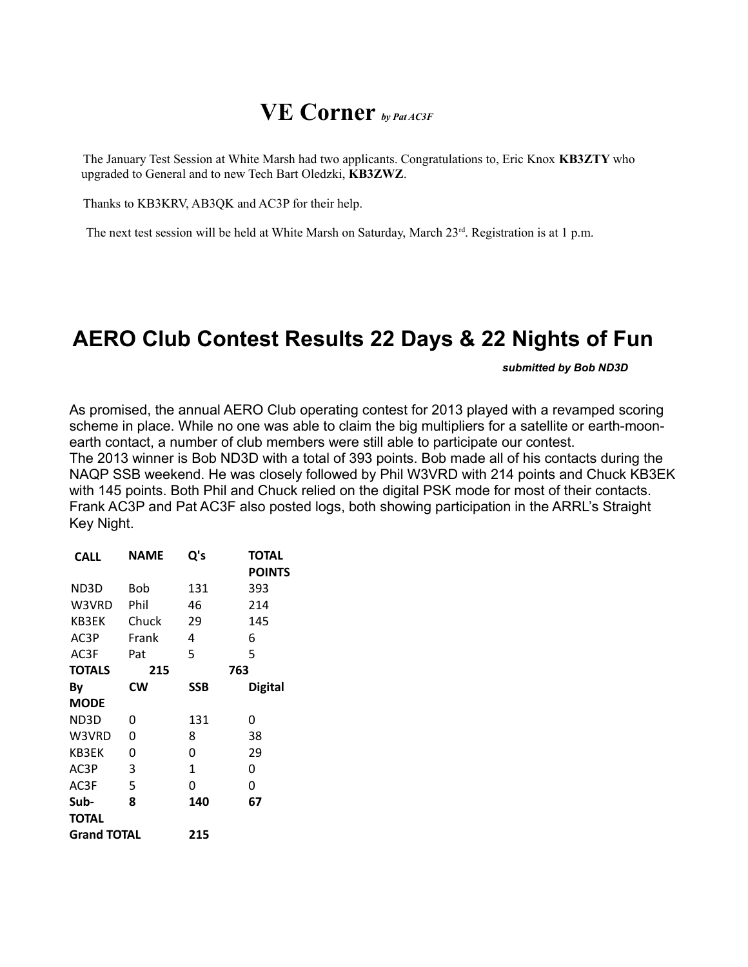### **VE Corner** *by Pat AC3F*

The January Test Session at White Marsh had two applicants. Congratulations to, Eric Knox **KB3ZTY** who upgraded to General and to new Tech Bart Oledzki, **KB3ZWZ**.

Thanks to KB3KRV, AB3QK and AC3P for their help.

The next test session will be held at White Marsh on Saturday, March 23<sup>rd</sup>. Registration is at 1 p.m.

### **AERO Club Contest Results 22 Days & 22 Nights of Fun**

#### *submitted by Bob ND3D*

As promised, the annual AERO Club operating contest for 2013 played with a revamped scoring scheme in place. While no one was able to claim the big multipliers for a satellite or earth-moonearth contact, a number of club members were still able to participate our contest. The 2013 winner is Bob ND3D with a total of 393 points. Bob made all of his contacts during the NAQP SSB weekend. He was closely followed by Phil W3VRD with 214 points and Chuck KB3EK with 145 points. Both Phil and Chuck relied on the digital PSK mode for most of their contacts. Frank AC3P and Pat AC3F also posted logs, both showing participation in the ARRL's Straight Key Night.

| <b>CALL</b>        | <b>NAME</b> | Q's | <b>TOTAL</b>  |
|--------------------|-------------|-----|---------------|
|                    |             |     | <b>POINTS</b> |
| ND3D               | Bob         | 131 | 393           |
| W3VRD              | Phil        | 46  | 214           |
| KB3EK              | Chuck       | 29  | 145           |
| AC3P               | Frank       | 4   | 6             |
| AC3F               | Pat         | 5   | 5             |
| <b>TOTALS</b>      | 215         |     | 763           |
| By                 | CW          | SSB | Digital       |
| <b>MODE</b>        |             |     |               |
| ND3D               | 0           | 131 | 0             |
| W3VRD              | 0           | 8   | 38            |
| KB3EK              | 0           | 0   | 29            |
| AC3P               | 3           | 1   | 0             |
| AC3F               | 5           | 0   | 0             |
| Sub-               | 8           | 140 | 67            |
| <b>TOTAL</b>       |             |     |               |
| <b>Grand TOTAL</b> |             | 215 |               |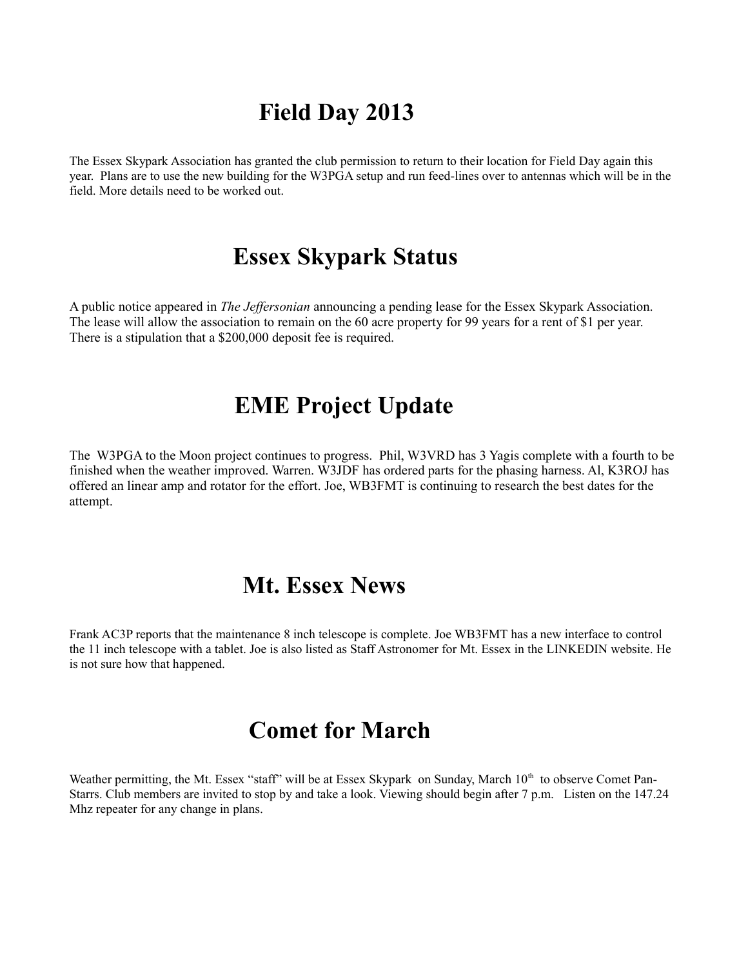## **Field Day 2013**

The Essex Skypark Association has granted the club permission to return to their location for Field Day again this year. Plans are to use the new building for the W3PGA setup and run feed-lines over to antennas which will be in the field. More details need to be worked out.

### **Essex Skypark Status**

A public notice appeared in *The Jeffersonian* announcing a pending lease for the Essex Skypark Association. The lease will allow the association to remain on the 60 acre property for 99 years for a rent of \$1 per year. There is a stipulation that a \$200,000 deposit fee is required.

### **EME Project Update**

The W3PGA to the Moon project continues to progress. Phil, W3VRD has 3 Yagis complete with a fourth to be finished when the weather improved. Warren. W3JDF has ordered parts for the phasing harness. Al, K3ROJ has offered an linear amp and rotator for the effort. Joe, WB3FMT is continuing to research the best dates for the attempt.

### **Mt. Essex News**

Frank AC3P reports that the maintenance 8 inch telescope is complete. Joe WB3FMT has a new interface to control the 11 inch telescope with a tablet. Joe is also listed as Staff Astronomer for Mt. Essex in the LINKEDIN website. He is not sure how that happened.

### **Comet for March**

Weather permitting, the Mt. Essex "staff" will be at Essex Skypark on Sunday, March 10<sup>th</sup> to observe Comet Pan-Starrs. Club members are invited to stop by and take a look. Viewing should begin after 7 p.m. Listen on the 147.24 Mhz repeater for any change in plans.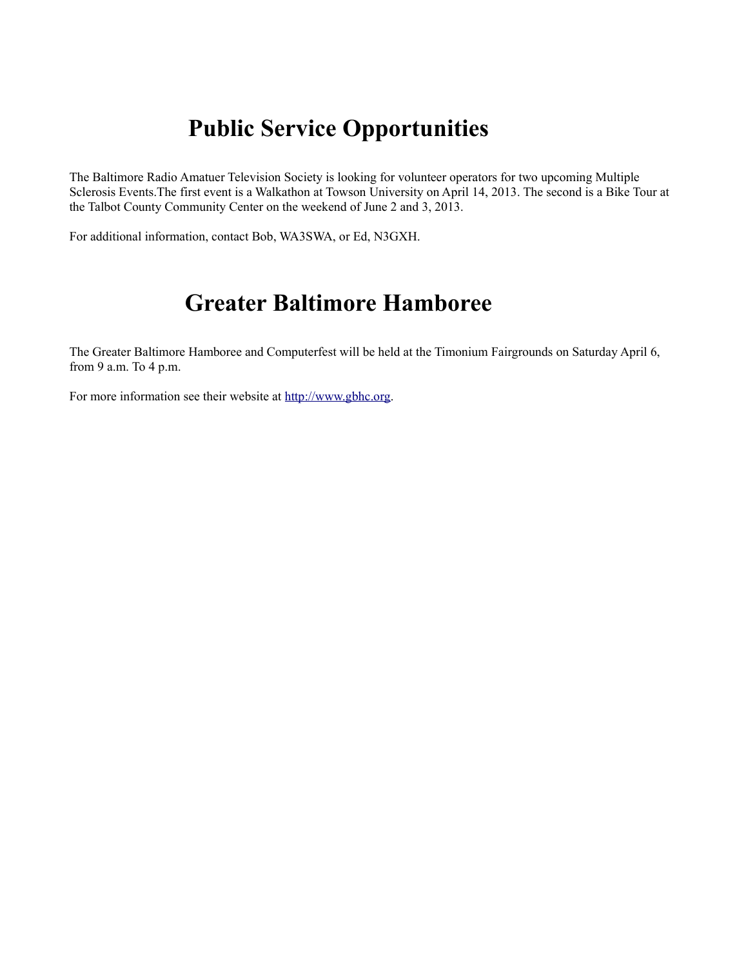## **Public Service Opportunities**

The Baltimore Radio Amatuer Television Society is looking for volunteer operators for two upcoming Multiple Sclerosis Events.The first event is a Walkathon at Towson University on April 14, 2013. The second is a Bike Tour at the Talbot County Community Center on the weekend of June 2 and 3, 2013.

For additional information, contact Bob, WA3SWA, or Ed, N3GXH.

## **Greater Baltimore Hamboree**

The Greater Baltimore Hamboree and Computerfest will be held at the Timonium Fairgrounds on Saturday April 6, from 9 a.m. To 4 p.m.

For more information see their website at [http://www.gbhc.org.](http://www.gbhc.org/)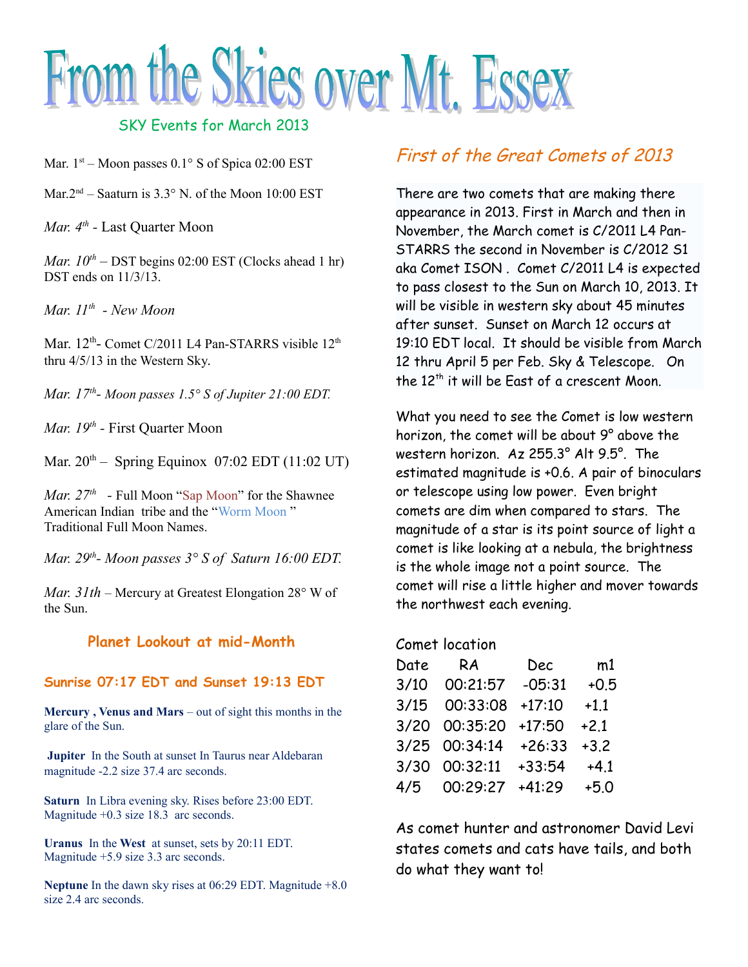

#### SKY Events for March 2013

Mar.  $1<sup>st</sup>$  – Moon passes 0.1° S of Spica 02:00 EST

Mar.2<sup>nd</sup> – Saaturn is  $3.3^\circ$  N. of the Moon 10:00 EST

*Mar. 4th -* Last Quarter Moon

*Mar.*  $10^{th}$  – DST begins 02:00 EST (Clocks ahead 1 hr) DST ends on 11/3/13.

*Mar. 11th - New Moon*

Mar. 12<sup>th</sup>- Comet C/2011 L4 Pan-STARRS visible 12<sup>th</sup> thru 4/5/13 in the Western Sky.

*Mar. 17th - Moon passes 1.5° S of Jupiter 21:00 EDT.*

*Mar. 19th -* First Quarter Moon

Mar.  $20^{th}$  – Spring Equinox 07:02 EDT (11:02 UT)

*Mar.*  $27<sup>th</sup>$  - Full Moon "Sap Moon" for the Shawnee American Indian tribe and the "Worm Moon " Traditional Full Moon Names.

*Mar. 29th- Moon passes 3° S of Saturn 16:00 EDT.*

*Mar.* 31th – Mercury at Greatest Elongation 28° W of the Sun.

#### **Planet Lookout at mid-Month**

#### **Sunrise 07:17 EDT and Sunset 19:13 EDT**

**Mercury , Venus and Mars** – out of sight this months in the glare of the Sun.

**Jupiter** In the South at sunset In Taurus near Aldebaran magnitude -2.2 size 37.4 arc seconds.

**Saturn** In Libra evening sky. Rises before 23:00 EDT. Magnitude +0.3 size 18.3 arc seconds.

**Uranus** In the **West** at sunset, sets by 20:11 EDT. Magnitude +5.9 size 3.3 arc seconds.

**Neptune** In the dawn sky rises at 06:29 EDT. Magnitude +8.0 size 2.4 arc seconds.

#### First of the Great Comets of 2013

There are two comets that are making there appearance in 2013. First in March and then in November, the March comet is C/2011 L4 Pan-STARRS the second in November is C/2012 S1 aka Comet ISON . Comet C/2011 L4 is expected to pass closest to the Sun on March 10, 2013. It will be visible in western sky about 45 minutes after sunset. Sunset on March 12 occurs at 19:10 EDT local. It should be visible from March 12 thru April 5 per Feb. Sky & Telescope. On the 12<sup>th</sup> it will be East of a crescent Moon.

What you need to see the Comet is low western horizon, the comet will be about 9° above the western horizon. Az 255.3° Alt 9.5°. The estimated magnitude is +0.6. A pair of binoculars or telescope using low power. Even bright comets are dim when compared to stars. The magnitude of a star is its point source of light a comet is like looking at a nebula, the brightness is the whole image not a point source. The comet will rise a little higher and mover towards the northwest each evening.

#### Comet location

| RA       | Dec                                    | m1     |
|----------|----------------------------------------|--------|
| 00:21:57 | $-05:31$                               | $+0.5$ |
| 00:33:08 | $+17:10$                               | $+1.1$ |
|          | $+17:50$                               | $+2.1$ |
|          | $+26:33$                               | $+3.2$ |
| 00:32:11 | $+33:54$                               | $+4.1$ |
| 00:29:27 | $+41:29$                               | $+5.0$ |
|          | 3/20 00:35:20<br>3/25 00:34:14<br>3/30 |        |

As comet hunter and astronomer David Levi states comets and cats have tails, and both do what they want to!